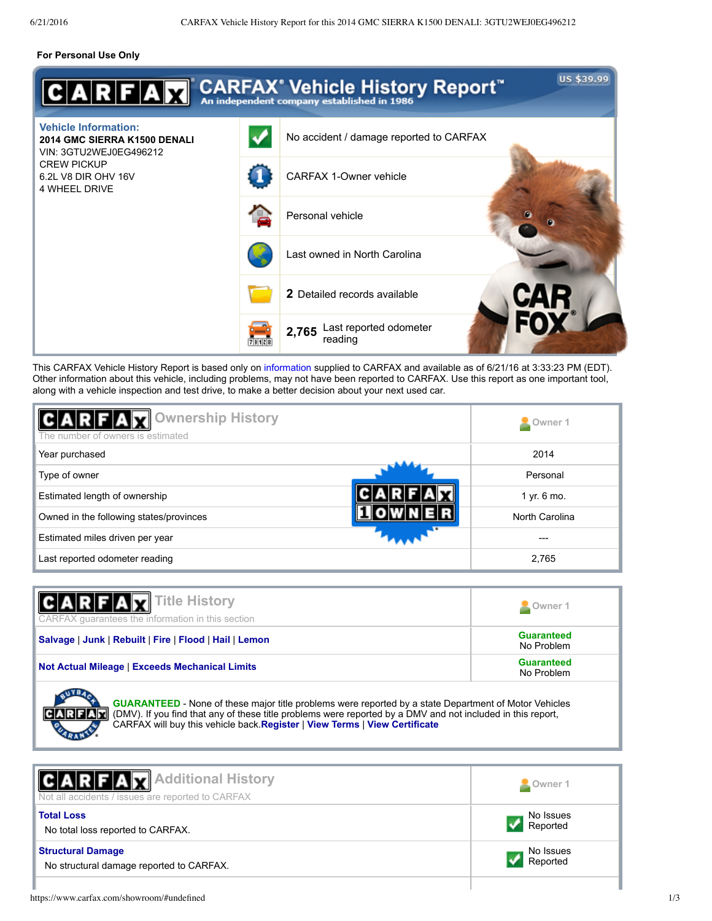## **For Personal Use Only**

|                                                                                       |       | US \$39.99<br>$\overline{ \mathbf{A} \mathbf{R} \mathbf{F} \mathbf{A} \mathbf{Y} }$ CARFAX <sup>*</sup> Vehicle History Report <sup>**</sup> |
|---------------------------------------------------------------------------------------|-------|----------------------------------------------------------------------------------------------------------------------------------------------|
| <b>Vehicle Information:</b><br>2014 GMC SIERRA K1500 DENALI<br>VIN: 3GTU2WEJ0EG496212 |       | No accident / damage reported to CARFAX                                                                                                      |
| <b>CREW PICKUP</b><br>6.2L V8 DIR OHV 16V<br><b>4 WHEEL DRIVE</b>                     |       | <b>CARFAX 1-Owner vehicle</b>                                                                                                                |
|                                                                                       |       | Personal vehicle<br>m                                                                                                                        |
|                                                                                       |       | Last owned in North Carolina                                                                                                                 |
|                                                                                       |       | <b>2</b> Detailed records available                                                                                                          |
|                                                                                       | 73128 | Last reported odometer<br>2,765<br>reading                                                                                                   |

This CARFAX Vehicle History Report is based only on information supplied to CARFAX and available as of 6/21/16 at 3:33:23 PM (EDT). Other information about this vehicle, including problems, may not have been reported to CARFAX. Use this report as one important tool, along with a vehicle inspection and test drive, to make a better decision about your next used car.

| Ownership History<br>The number of owners is estimated | Owner 1         |
|--------------------------------------------------------|-----------------|
| Year purchased                                         | 2014            |
| Type of owner                                          | Personal        |
| Estimated length of ownership                          | $1$ yr. $6$ mo. |
| Owned in the following states/provinces                | North Carolina  |
| Estimated miles driven per year                        |                 |
| Last reported odometer reading                         | 2,765           |

| V Title History<br>$C$ $A$ $R$ $F$ $A$<br>CARFAX guarantees the information in this section           | <b>Q</b> Owner 1                |
|-------------------------------------------------------------------------------------------------------|---------------------------------|
| Salvage   Junk   Rebuilt   Fire   Flood   Hail   Lemon                                                | <b>Guaranteed</b><br>No Problem |
| <b>Not Actual Mileage   Exceeds Mechanical Limits</b>                                                 | <b>Guaranteed</b><br>No Problem |
| GUARANTEED - None of these major title problems were reported by a state Department of Motor Vehicles |                                 |

**GUARANTEED** None of these major title problems were reported by a state Department of Motor Vehicles (DMV). If you find that any of these title problems were reported by a DMV and not included in this report, CARFAX will buy this vehicle back.**Register** | **View Terms** | **View Certificate**

| <b>CARFAX</b> Additional History<br>Not all accidents / issues are reported to CARFAX | Owner 1               |
|---------------------------------------------------------------------------------------|-----------------------|
| <b>Total Loss</b><br>No total loss reported to CARFAX.                                | No Issues<br>Reported |
| <b>Structural Damage</b><br>No structural damage reported to CARFAX.                  | No Issues<br>Reported |
|                                                                                       |                       |

 $C$  $A$  $R$  $F$  $A$  $F$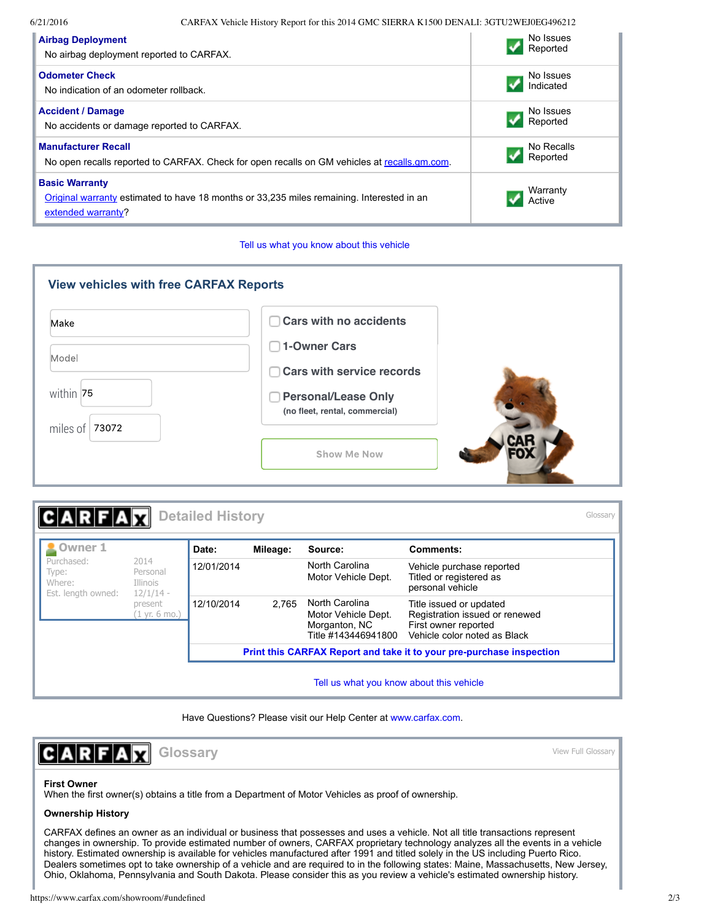6/21/2016 CARFAX Vehicle History Report for this 2014 GMC SIERRA K1500 DENALI: 3GTU2WEJ0EG496212

| <b>Airbag Deployment</b>                                                                                                                 | No Issues          |
|------------------------------------------------------------------------------------------------------------------------------------------|--------------------|
| No airbag deployment reported to CARFAX.                                                                                                 | Reported           |
| <b>Odometer Check</b>                                                                                                                    | No Issues          |
| No indication of an odometer rollback.                                                                                                   | Indicated          |
| <b>Accident / Damage</b>                                                                                                                 | No Issues          |
| No accidents or damage reported to CARFAX.                                                                                               | Reported           |
| <b>Manufacturer Recall</b>                                                                                                               | No Recalls         |
| No open recalls reported to CARFAX. Check for open recalls on GM vehicles at recalls qm.com.                                             | Reported           |
| <b>Basic Warranty</b><br>Original warranty estimated to have 18 months or 33,235 miles remaining. Interested in an<br>extended warranty? | Warranty<br>Active |



| <b>View vehicles with free CARFAX Reports</b><br>Make<br>Model | <b>Cars with no accidents</b><br><b>1-Owner Cars</b><br>$\mathcal{L}$<br><b>Cars with service records</b> |  |
|----------------------------------------------------------------|-----------------------------------------------------------------------------------------------------------|--|
| within 75<br>miles of $ 73072$                                 | <b>Personal/Lease Only</b><br>(no fleet, rental, commercial)                                              |  |
|                                                                | <b>Show Me Now</b>                                                                                        |  |

|                                                     |                                             | <b>Detailed History</b>                                              |          |                                                                               |                                                                                                                   | Glossary |
|-----------------------------------------------------|---------------------------------------------|----------------------------------------------------------------------|----------|-------------------------------------------------------------------------------|-------------------------------------------------------------------------------------------------------------------|----------|
| <b>2</b> Owner 1                                    |                                             | Date:                                                                | Mileage: | Source:                                                                       | Comments:                                                                                                         |          |
| Purchased:<br>Type:<br>Where:<br>Est. length owned: | 2014<br>Personal<br>Illinois<br>$12/1/14 -$ | 12/01/2014                                                           |          | North Carolina<br>Motor Vehicle Dept.                                         | Vehicle purchase reported<br>Titled or registered as<br>personal vehicle                                          |          |
|                                                     | present<br>(1 yr. 6 mo.)                    | 12/10/2014                                                           | 2.765    | North Carolina<br>Motor Vehicle Dept.<br>Morganton, NC<br>Title #143446941800 | Title issued or updated<br>Registration issued or renewed<br>First owner reported<br>Vehicle color noted as Black |          |
|                                                     |                                             | Print this CARFAX Report and take it to your pre-purchase inspection |          |                                                                               |                                                                                                                   |          |
|                                                     |                                             |                                                                      |          | Tell us what you know about this vehicle                                      |                                                                                                                   |          |

Have Questions? Please visit our Help Center at www.carfax.com.